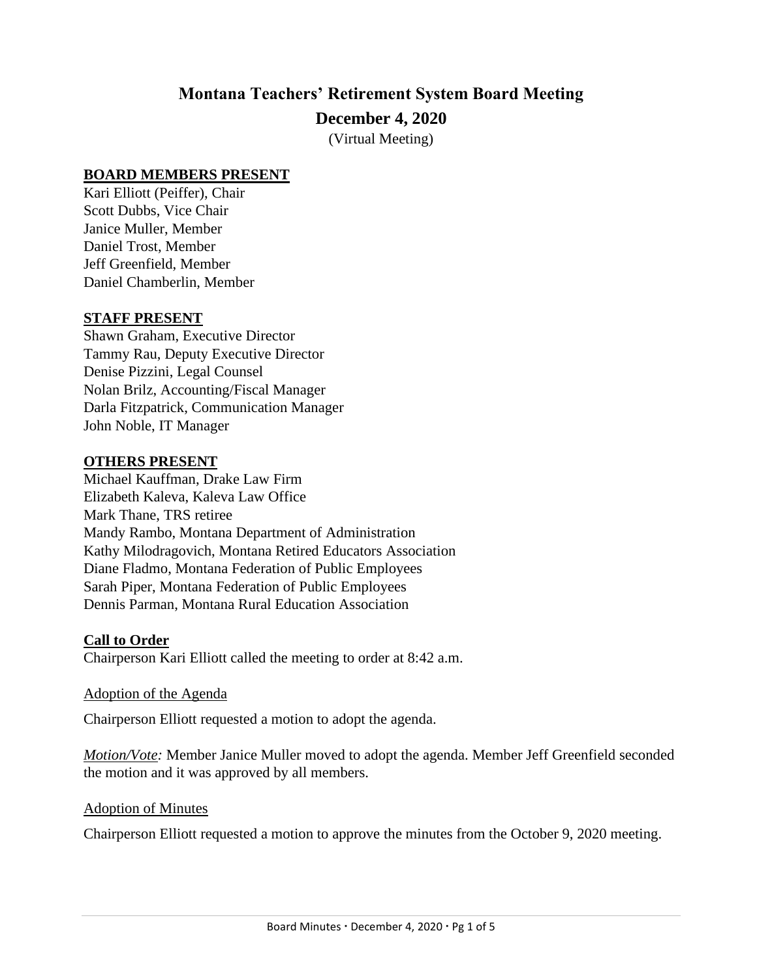# **Montana Teachers' Retirement System Board Meeting December 4, 2020**

(Virtual Meeting)

### **BOARD MEMBERS PRESENT**

Kari Elliott (Peiffer), Chair Scott Dubbs, Vice Chair Janice Muller, Member Daniel Trost, Member Jeff Greenfield, Member Daniel Chamberlin, Member

### **STAFF PRESENT**

Shawn Graham, Executive Director Tammy Rau, Deputy Executive Director Denise Pizzini, Legal Counsel Nolan Brilz, Accounting/Fiscal Manager Darla Fitzpatrick, Communication Manager John Noble, IT Manager

### **OTHERS PRESENT**

Michael Kauffman, Drake Law Firm Elizabeth Kaleva, Kaleva Law Office Mark Thane, TRS retiree Mandy Rambo, Montana Department of Administration Kathy Milodragovich, Montana Retired Educators Association Diane Fladmo, Montana Federation of Public Employees Sarah Piper, Montana Federation of Public Employees Dennis Parman, Montana Rural Education Association

#### **Call to Order**

Chairperson Kari Elliott called the meeting to order at 8:42 a.m.

#### Adoption of the Agenda

Chairperson Elliott requested a motion to adopt the agenda.

*Motion/Vote:* Member Janice Muller moved to adopt the agenda. Member Jeff Greenfield seconded the motion and it was approved by all members.

#### Adoption of Minutes

Chairperson Elliott requested a motion to approve the minutes from the October 9, 2020 meeting.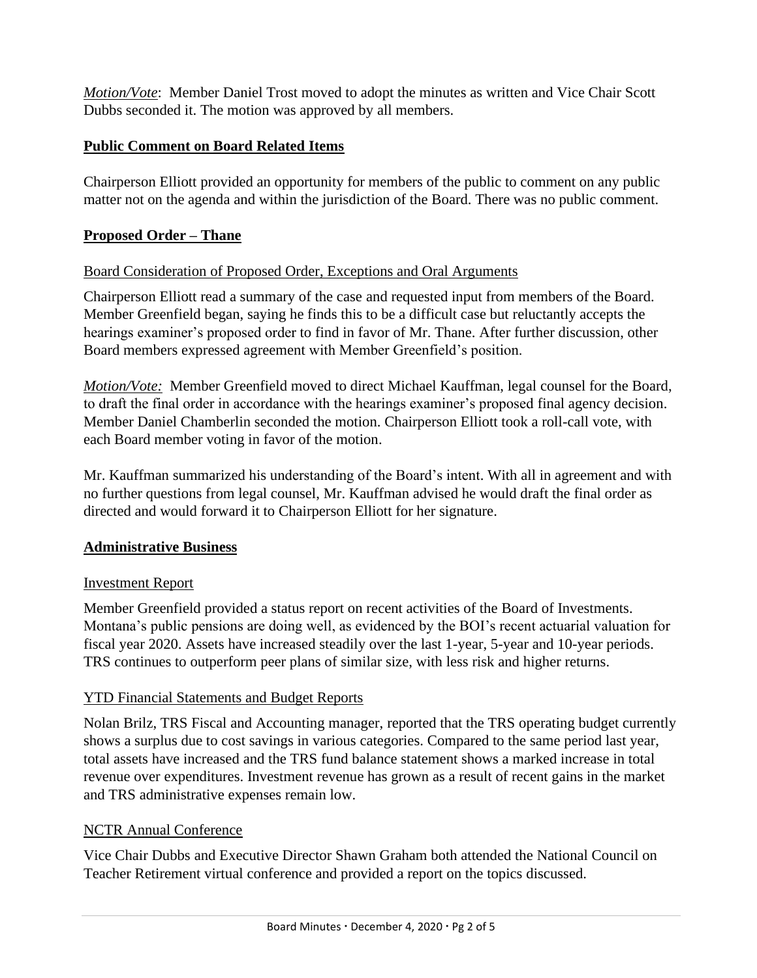*Motion/Vote*: Member Daniel Trost moved to adopt the minutes as written and Vice Chair Scott Dubbs seconded it. The motion was approved by all members.

# **Public Comment on Board Related Items**

Chairperson Elliott provided an opportunity for members of the public to comment on any public matter not on the agenda and within the jurisdiction of the Board. There was no public comment.

# **Proposed Order – Thane**

## Board Consideration of Proposed Order, Exceptions and Oral Arguments

Chairperson Elliott read a summary of the case and requested input from members of the Board. Member Greenfield began, saying he finds this to be a difficult case but reluctantly accepts the hearings examiner's proposed order to find in favor of Mr. Thane. After further discussion, other Board members expressed agreement with Member Greenfield's position.

*Motion/Vote:* Member Greenfield moved to direct Michael Kauffman, legal counsel for the Board, to draft the final order in accordance with the hearings examiner's proposed final agency decision. Member Daniel Chamberlin seconded the motion. Chairperson Elliott took a roll-call vote, with each Board member voting in favor of the motion.

Mr. Kauffman summarized his understanding of the Board's intent. With all in agreement and with no further questions from legal counsel, Mr. Kauffman advised he would draft the final order as directed and would forward it to Chairperson Elliott for her signature.

### **Administrative Business**

### Investment Report

Member Greenfield provided a status report on recent activities of the Board of Investments. Montana's public pensions are doing well, as evidenced by the BOI's recent actuarial valuation for fiscal year 2020. Assets have increased steadily over the last 1-year, 5-year and 10-year periods. TRS continues to outperform peer plans of similar size, with less risk and higher returns.

# YTD Financial Statements and Budget Reports

Nolan Brilz, TRS Fiscal and Accounting manager, reported that the TRS operating budget currently shows a surplus due to cost savings in various categories. Compared to the same period last year, total assets have increased and the TRS fund balance statement shows a marked increase in total revenue over expenditures. Investment revenue has grown as a result of recent gains in the market and TRS administrative expenses remain low.

# NCTR Annual Conference

Vice Chair Dubbs and Executive Director Shawn Graham both attended the National Council on Teacher Retirement virtual conference and provided a report on the topics discussed.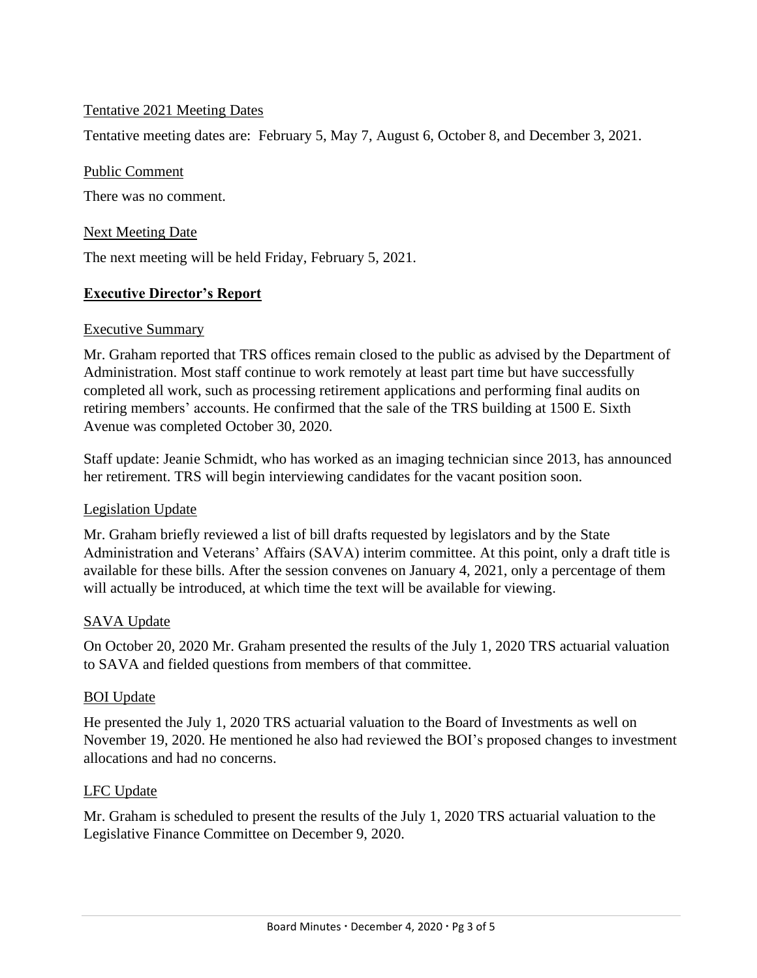### Tentative 2021 Meeting Dates

Tentative meeting dates are: February 5, May 7, August 6, October 8, and December 3, 2021.

#### Public Comment

There was no comment.

### Next Meeting Date

The next meeting will be held Friday, February 5, 2021.

### **Executive Director's Report**

#### Executive Summary

Mr. Graham reported that TRS offices remain closed to the public as advised by the Department of Administration. Most staff continue to work remotely at least part time but have successfully completed all work, such as processing retirement applications and performing final audits on retiring members' accounts. He confirmed that the sale of the TRS building at 1500 E. Sixth Avenue was completed October 30, 2020.

Staff update: Jeanie Schmidt, who has worked as an imaging technician since 2013, has announced her retirement. TRS will begin interviewing candidates for the vacant position soon.

#### Legislation Update

Mr. Graham briefly reviewed a list of bill drafts requested by legislators and by the State Administration and Veterans' Affairs (SAVA) interim committee. At this point, only a draft title is available for these bills. After the session convenes on January 4, 2021, only a percentage of them will actually be introduced, at which time the text will be available for viewing.

### SAVA Update

On October 20, 2020 Mr. Graham presented the results of the July 1, 2020 TRS actuarial valuation to SAVA and fielded questions from members of that committee.

#### BOI Update

He presented the July 1, 2020 TRS actuarial valuation to the Board of Investments as well on November 19, 2020. He mentioned he also had reviewed the BOI's proposed changes to investment allocations and had no concerns.

#### LFC Update

Mr. Graham is scheduled to present the results of the July 1, 2020 TRS actuarial valuation to the Legislative Finance Committee on December 9, 2020.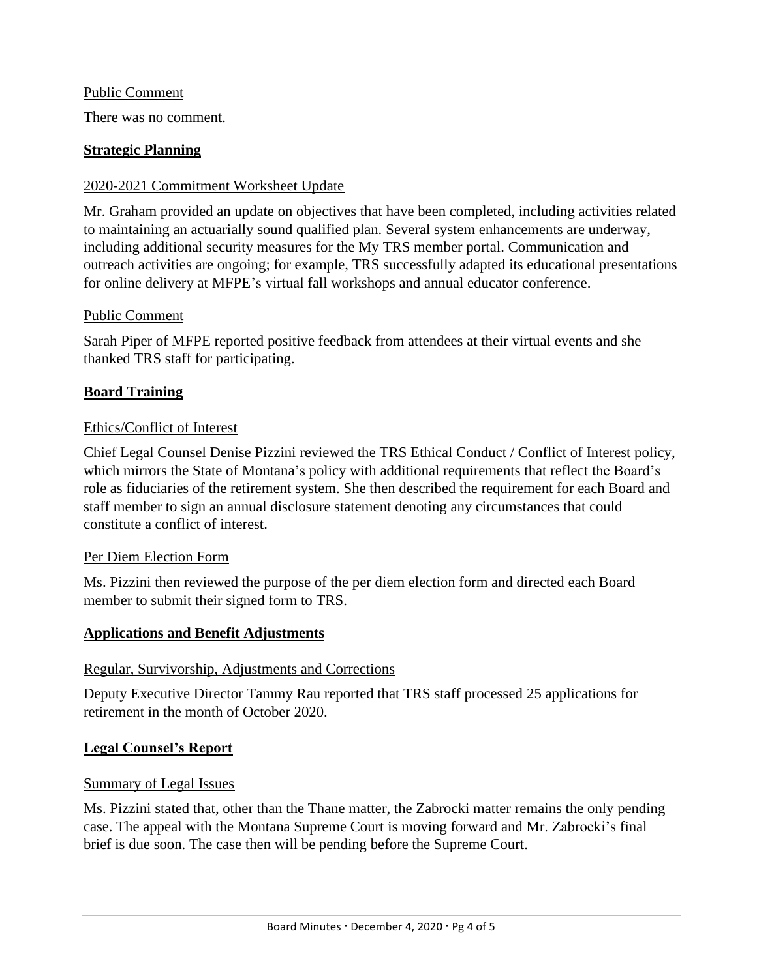#### Public Comment

There was no comment.

### **Strategic Planning**

### 2020-2021 Commitment Worksheet Update

Mr. Graham provided an update on objectives that have been completed, including activities related to maintaining an actuarially sound qualified plan. Several system enhancements are underway, including additional security measures for the My TRS member portal. Communication and outreach activities are ongoing; for example, TRS successfully adapted its educational presentations for online delivery at MFPE's virtual fall workshops and annual educator conference.

### Public Comment

Sarah Piper of MFPE reported positive feedback from attendees at their virtual events and she thanked TRS staff for participating.

### **Board Training**

### Ethics/Conflict of Interest

Chief Legal Counsel Denise Pizzini reviewed the TRS Ethical Conduct / Conflict of Interest policy, which mirrors the State of Montana's policy with additional requirements that reflect the Board's role as fiduciaries of the retirement system. She then described the requirement for each Board and staff member to sign an annual disclosure statement denoting any circumstances that could constitute a conflict of interest.

#### Per Diem Election Form

Ms. Pizzini then reviewed the purpose of the per diem election form and directed each Board member to submit their signed form to TRS.

#### **Applications and Benefit Adjustments**

#### Regular, Survivorship, Adjustments and Corrections

Deputy Executive Director Tammy Rau reported that TRS staff processed 25 applications for retirement in the month of October 2020.

#### **Legal Counsel's Report**

#### Summary of Legal Issues

Ms. Pizzini stated that, other than the Thane matter, the Zabrocki matter remains the only pending case. The appeal with the Montana Supreme Court is moving forward and Mr. Zabrocki's final brief is due soon. The case then will be pending before the Supreme Court.